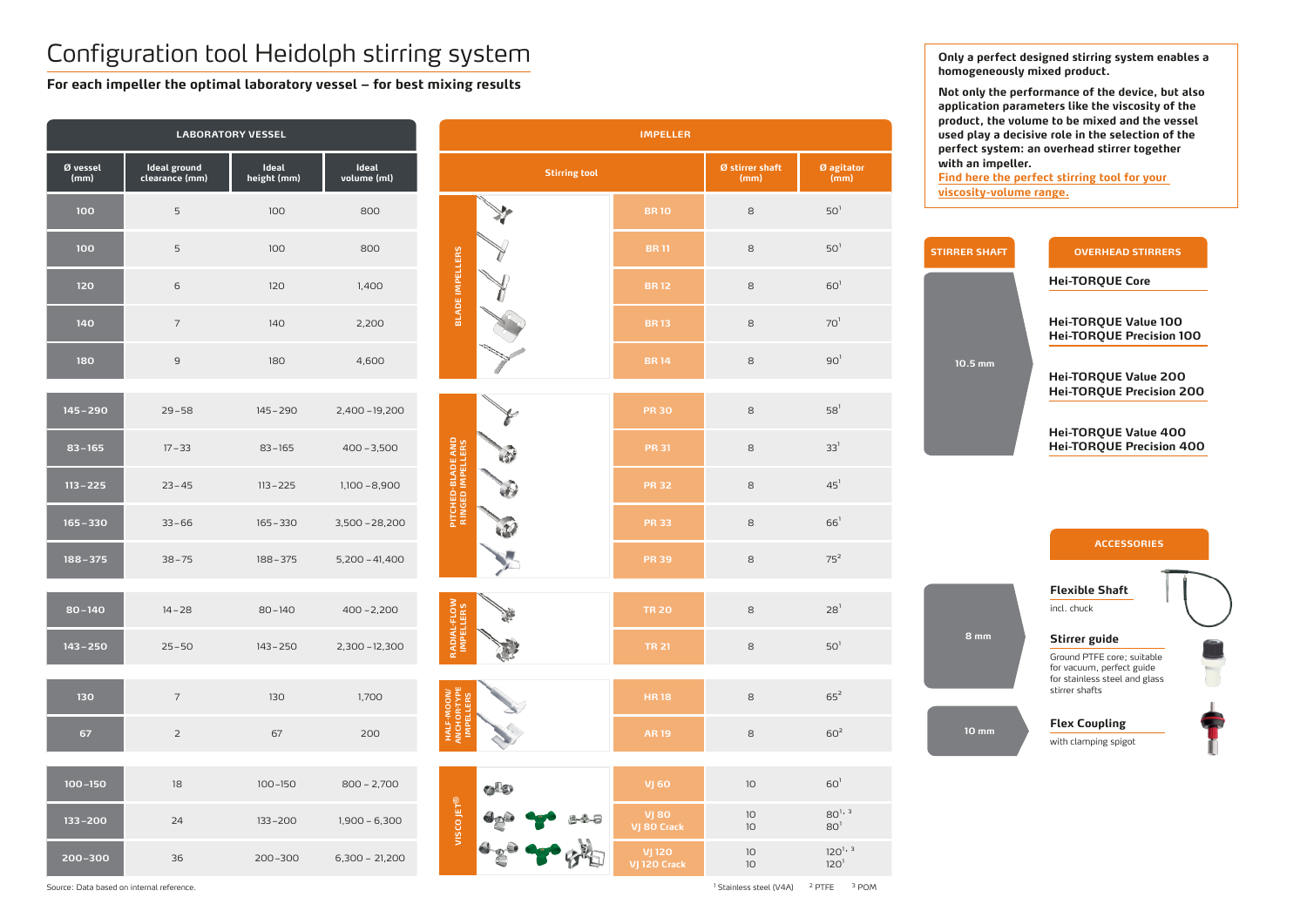# Configuration tool Heidolph stirring system

**For each impeller the optimal laboratory vessel – for best mixing results**

**Hei-TORQUE Core**

**Hei-TORQUE Value 100 Hei-TORQUE Precision 100**

**Hei-TORQUE Value 200 Hei-TORQUE Precision 200**

|                  |                                | <b>LABORATORY VESSEL</b> |                      | <b>IMPELLER</b>                               |                               |                    |                                 |             |  |  |  |
|------------------|--------------------------------|--------------------------|----------------------|-----------------------------------------------|-------------------------------|--------------------|---------------------------------|-------------|--|--|--|
| Ø vessel<br>(mm) | Ideal ground<br>clearance (mm) | Ideal<br>height (mm)     | Ideal<br>volume (ml) | <b>Stirring tool</b>                          | Ø stirrer shaft<br>(mm)       | Ø agitator<br>(mm) | pe<br>wi<br>$F$                 |             |  |  |  |
| 100              | $\overline{5}$                 | 100                      | 800                  |                                               | <b>BR10</b>                   | $\rm8$             | $501$                           | <u>vis</u>  |  |  |  |
| 100              | 5                              | 100                      | 800                  |                                               | <b>BR11</b>                   | 8                  | $50^1$                          | <b>STIF</b> |  |  |  |
| 120              | $\mathsf{6}$                   | 120                      | 1,400                | <b>BLADE IMPELLERS</b>                        | <b>BR12</b>                   | 8                  | $601$                           |             |  |  |  |
| 140              | $\overline{7}$                 | 140                      | 2,200                |                                               | <b>BR13</b>                   | $\,8\,$            | 70 <sup>1</sup>                 |             |  |  |  |
| 180              | $\mathsf g$                    | 180                      | 4,600                |                                               | <b>BR14</b>                   | $\,8\,$            | 90 <sup>1</sup>                 |             |  |  |  |
| $145 - 290$      | $29 - 58$                      | $145 - 290$              | 2,400-19,200         |                                               | <b>PR 30</b>                  | 8                  | $58^1$                          |             |  |  |  |
| $83 - 165$       | $17 - 33$                      | $83 - 165$               | $400 - 3,500$        | $\mathcal{R}$                                 | <b>PR 31</b>                  | $\,8\,$            | 33 <sup>1</sup>                 |             |  |  |  |
| $113 - 225$      | $23 - 45$                      | $113 - 225$              | $1,100 - 8,900$      | <b>PITCHED-BLADE AND</b><br>RINGED IMPELLERS  | <b>PR 32</b>                  | 8                  | $45^1$                          |             |  |  |  |
| $165 - 330$      | $33 - 66$                      | $165 - 330$              | $3,500 - 28,200$     |                                               | <b>PR 33</b>                  | 8                  | $66^1$                          |             |  |  |  |
| $188 - 375$      | $38 - 75$                      | $188 - 375$              | $5,200 - 41,400$     |                                               | <b>PR 39</b>                  | $\,8\,$            | $75^2$                          |             |  |  |  |
| $80 - 140$       | $14 - 28$                      | $80 - 140$               | $400 - 2,200$        | RADIAL-FLOW<br>IMPELLERS<br>金                 | <b>TR 20</b>                  | 8                  | 28 <sup>1</sup>                 |             |  |  |  |
| $143 - 250$      | $25 - 50$                      | $143 - 250$              | $2,300 - 12,300$     |                                               | <b>TR 21</b>                  | $\,8\,$            | $50^1$                          |             |  |  |  |
| 130              | $\overline{7}$                 | 130                      | 1,700                |                                               | <b>HR18</b>                   | $\,8\,$            | $65^2$                          |             |  |  |  |
| 67               | $\overline{2}$                 | 67                       | 200                  | <b>HALF-MOON/</b><br>ANCHOR-TYPE<br>IMPELLERS | <b>AR19</b>                   | $\,8\,$            | 60 <sup>2</sup>                 |             |  |  |  |
| $100 - 150$      | $18\,$                         | $100 - 150$              | $800 - 2,700$        | $O^{12}$                                      | <b>VJ 60</b>                  | $10$               | 60 <sup>1</sup>                 |             |  |  |  |
| $133 - 200$      | 24                             | $133 - 200$              | $1,900 - 6,300$      | VISCO JET <sup>®</sup>                        | <b>VJ 80</b><br>VJ 80 Crack   | $10$<br>$10$       | $80^{1,3}$<br>80 <sup>1</sup>   |             |  |  |  |
| $200 - 300$      | 36                             | 200-300                  | $6,300 - 21,200$     |                                               | <b>VJ 120</b><br>VJ 120 Crack | $10$<br>$10$       | $120^{1,3}$<br>120 <sup>1</sup> |             |  |  |  |

**Hei-TORQUE Value 400 Hei-TORQUE Precision 400**



**8 mm**

**10 mm**

### **STIRRER SHAFT OVERHEAD STIRRERS**

#### **ACCESSORIES**

#### **Stirrer guide**

Ground PTFE core; suitable for vacuum, perfect guide for stainless steel and glass stirrer shafts

**Flexible Shaft**

incl. chuck

### **Flex Coupling**

with clamping spigot



**Only a perfect designed stirring system enables a homogeneously mixed product.** 

**Not only the performance of the device, but also application parameters like the viscosity of the product, the volume to be mixed and the vessel used play a decisive role in the selection of the perfect system: an overhead stirrer together with an impeller.** 

**[Find here the perfect stirríng tool for your](#page-1-0)  viscosity-volume range.**